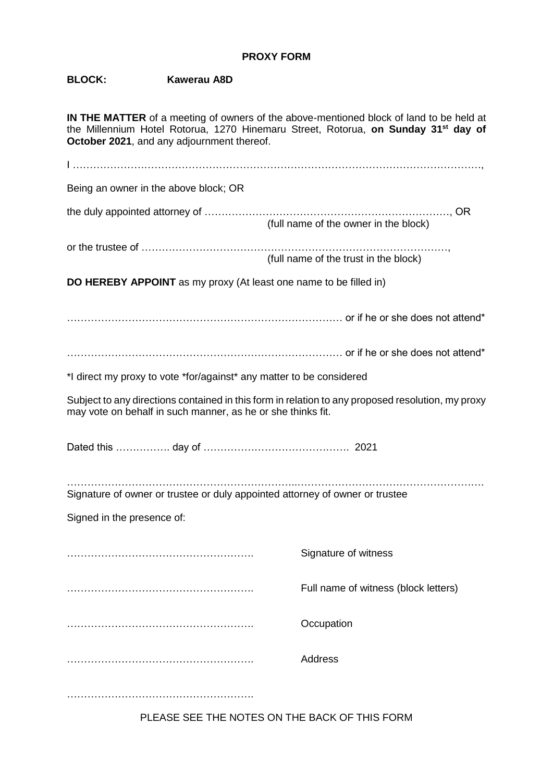# **PROXY FORM**

# **BLOCK: Kawerau A8D**

**IN THE MATTER** of a meeting of owners of the above-mentioned block of land to be held at the Millennium Hotel Rotorua, 1270 Hinemaru Street, Rotorua, **on Sunday 31st day of October 2021**, and any adjournment thereof.

| Being an owner in the above block; OR                                        |                                                                                                   |
|------------------------------------------------------------------------------|---------------------------------------------------------------------------------------------------|
|                                                                              | (full name of the owner in the block)                                                             |
|                                                                              |                                                                                                   |
|                                                                              | (full name of the trust in the block)                                                             |
| DO HEREBY APPOINT as my proxy (At least one name to be filled in)            |                                                                                                   |
|                                                                              |                                                                                                   |
|                                                                              |                                                                                                   |
| *I direct my proxy to vote *for/against* any matter to be considered         |                                                                                                   |
| may vote on behalf in such manner, as he or she thinks fit.                  | Subject to any directions contained in this form in relation to any proposed resolution, my proxy |
|                                                                              |                                                                                                   |
| Signature of owner or trustee or duly appointed attorney of owner or trustee |                                                                                                   |
| Signed in the presence of:                                                   |                                                                                                   |
|                                                                              | Signature of witness                                                                              |
|                                                                              | Full name of witness (block letters)                                                              |
|                                                                              | Occupation                                                                                        |
|                                                                              | Address                                                                                           |
|                                                                              |                                                                                                   |

PLEASE SEE THE NOTES ON THE BACK OF THIS FORM